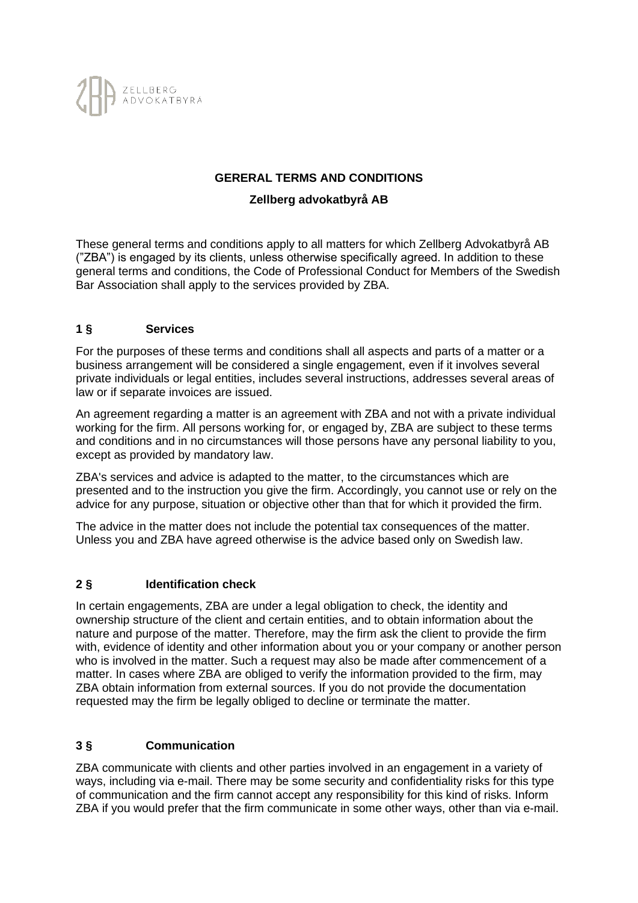

### **GERERAL TERMS AND CONDITIONS**

#### **Zellberg advokatbyrå AB**

These general terms and conditions apply to all matters for which Zellberg Advokatbyrå AB ("ZBA") is engaged by its clients, unless otherwise specifically agreed. In addition to these general terms and conditions, the Code of Professional Conduct for Members of the Swedish Bar Association shall apply to the services provided by ZBA.

#### **1 § Services**

For the purposes of these terms and conditions shall all aspects and parts of a matter or a business arrangement will be considered a single engagement, even if it involves several private individuals or legal entities, includes several instructions, addresses several areas of law or if separate invoices are issued.

An agreement regarding a matter is an agreement with ZBA and not with a private individual working for the firm. All persons working for, or engaged by, ZBA are subject to these terms and conditions and in no circumstances will those persons have any personal liability to you, except as provided by mandatory law.

ZBA's services and advice is adapted to the matter, to the circumstances which are presented and to the instruction you give the firm. Accordingly, you cannot use or rely on the advice for any purpose, situation or objective other than that for which it provided the firm.

The advice in the matter does not include the potential tax consequences of the matter. Unless you and ZBA have agreed otherwise is the advice based only on Swedish law.

### **2 § Identification check**

In certain engagements, ZBA are under a legal obligation to check, the identity and ownership structure of the client and certain entities, and to obtain information about the nature and purpose of the matter. Therefore, may the firm ask the client to provide the firm with, evidence of identity and other information about you or your company or another person who is involved in the matter. Such a request may also be made after commencement of a matter. In cases where ZBA are obliged to verify the information provided to the firm, may ZBA obtain information from external sources. If you do not provide the documentation requested may the firm be legally obliged to decline or terminate the matter.

#### **3 § Communication**

ZBA communicate with clients and other parties involved in an engagement in a variety of ways, including via e-mail. There may be some security and confidentiality risks for this type of communication and the firm cannot accept any responsibility for this kind of risks. Inform ZBA if you would prefer that the firm communicate in some other ways, other than via e-mail.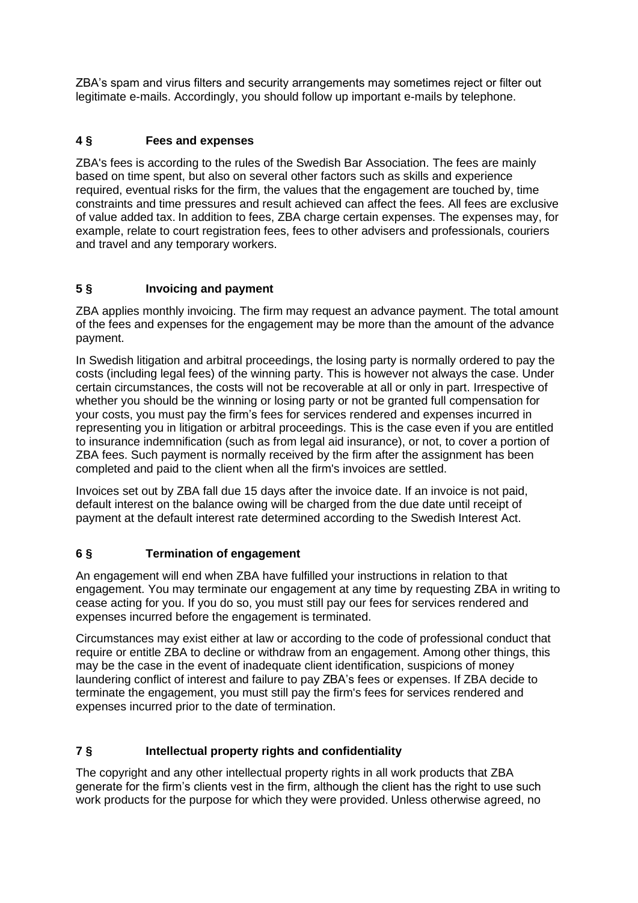ZBA's spam and virus filters and security arrangements may sometimes reject or filter out legitimate e-mails. Accordingly, you should follow up important e-mails by telephone.

# **4 § Fees and expenses**

ZBA's fees is according to the rules of the Swedish Bar Association. The fees are mainly based on time spent, but also on several other factors such as skills and experience required, eventual risks for the firm, the values that the engagement are touched by, time constraints and time pressures and result achieved can affect the fees. All fees are exclusive of value added tax. In addition to fees, ZBA charge certain expenses. The expenses may, for example, relate to court registration fees, fees to other advisers and professionals, couriers and travel and any temporary workers.

# **5 § Invoicing and payment**

ZBA applies monthly invoicing. The firm may request an advance payment. The total amount of the fees and expenses for the engagement may be more than the amount of the advance payment.

In Swedish litigation and arbitral proceedings, the losing party is normally ordered to pay the costs (including legal fees) of the winning party. This is however not always the case. Under certain circumstances, the costs will not be recoverable at all or only in part. Irrespective of whether you should be the winning or losing party or not be granted full compensation for your costs, you must pay the firm's fees for services rendered and expenses incurred in representing you in litigation or arbitral proceedings. This is the case even if you are entitled to insurance indemnification (such as from legal aid insurance), or not, to cover a portion of ZBA fees. Such payment is normally received by the firm after the assignment has been completed and paid to the client when all the firm's invoices are settled.

Invoices set out by ZBA fall due 15 days after the invoice date. If an invoice is not paid, default interest on the balance owing will be charged from the due date until receipt of payment at the default interest rate determined according to the Swedish Interest Act.

### **6 § Termination of engagement**

An engagement will end when ZBA have fulfilled your instructions in relation to that engagement. You may terminate our engagement at any time by requesting ZBA in writing to cease acting for you. If you do so, you must still pay our fees for services rendered and expenses incurred before the engagement is terminated.

Circumstances may exist either at law or according to the code of professional conduct that require or entitle ZBA to decline or withdraw from an engagement. Among other things, this may be the case in the event of inadequate client identification, suspicions of money laundering conflict of interest and failure to pay ZBA's fees or expenses. If ZBA decide to terminate the engagement, you must still pay the firm's fees for services rendered and expenses incurred prior to the date of termination.

# **7 § Intellectual property rights and confidentiality**

The copyright and any other intellectual property rights in all work products that ZBA generate for the firm's clients vest in the firm, although the client has the right to use such work products for the purpose for which they were provided. Unless otherwise agreed, no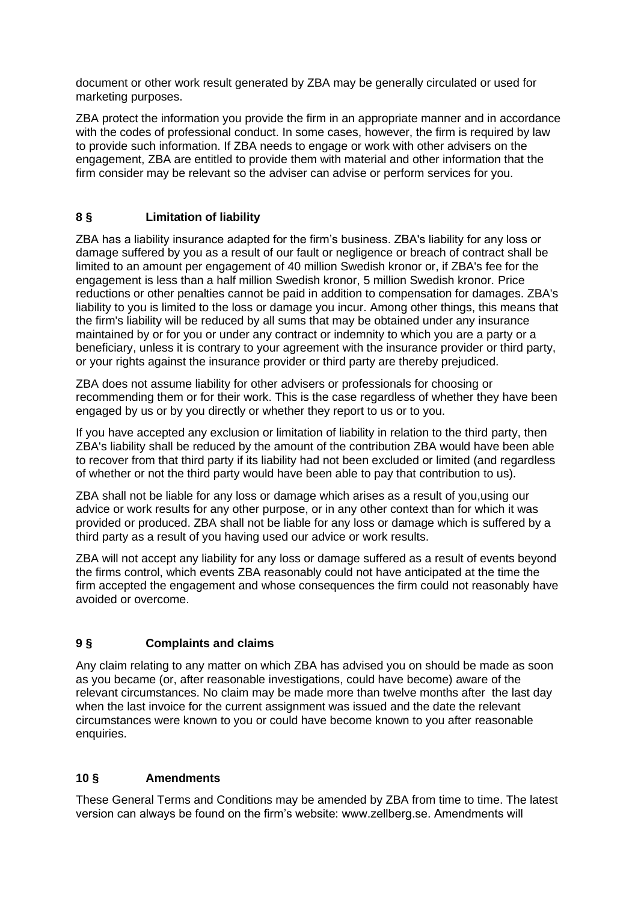document or other work result generated by ZBA may be generally circulated or used for marketing purposes.

ZBA protect the information you provide the firm in an appropriate manner and in accordance with the codes of professional conduct. In some cases, however, the firm is required by law to provide such information. If ZBA needs to engage or work with other advisers on the engagement, ZBA are entitled to provide them with material and other information that the firm consider may be relevant so the adviser can advise or perform services for you.

# **8 § Limitation of liability**

ZBA has a liability insurance adapted for the firm's business. ZBA's liability for any loss or damage suffered by you as a result of our fault or negligence or breach of contract shall be limited to an amount per engagement of 40 million Swedish kronor or, if ZBA's fee for the engagement is less than a half million Swedish kronor, 5 million Swedish kronor. Price reductions or other penalties cannot be paid in addition to compensation for damages. ZBA's liability to you is limited to the loss or damage you incur. Among other things, this means that the firm's liability will be reduced by all sums that may be obtained under any insurance maintained by or for you or under any contract or indemnity to which you are a party or a beneficiary, unless it is contrary to your agreement with the insurance provider or third party, or your rights against the insurance provider or third party are thereby prejudiced.

ZBA does not assume liability for other advisers or professionals for choosing or recommending them or for their work. This is the case regardless of whether they have been engaged by us or by you directly or whether they report to us or to you.

If you have accepted any exclusion or limitation of liability in relation to the third party, then ZBA's liability shall be reduced by the amount of the contribution ZBA would have been able to recover from that third party if its liability had not been excluded or limited (and regardless of whether or not the third party would have been able to pay that contribution to us).

ZBA shall not be liable for any loss or damage which arises as a result of you,using our advice or work results for any other purpose, or in any other context than for which it was provided or produced. ZBA shall not be liable for any loss or damage which is suffered by a third party as a result of you having used our advice or work results.

ZBA will not accept any liability for any loss or damage suffered as a result of events beyond the firms control, which events ZBA reasonably could not have anticipated at the time the firm accepted the engagement and whose consequences the firm could not reasonably have avoided or overcome.

### **9 § Complaints and claims**

Any claim relating to any matter on which ZBA has advised you on should be made as soon as you became (or, after reasonable investigations, could have become) aware of the relevant circumstances. No claim may be made more than twelve months after the last day when the last invoice for the current assignment was issued and the date the relevant circumstances were known to you or could have become known to you after reasonable enquiries.

### **10 § Amendments**

These General Terms and Conditions may be amended by ZBA from time to time. The latest version can always be found on the firm's website: www.zellberg.se. Amendments will